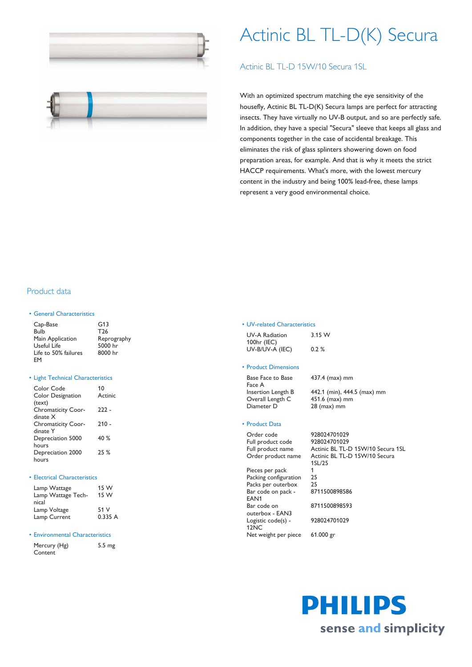

# Actinic BL TL-D(K) Secura

## Actinic BL TL-D 15W/10 Secura 1SL



With an optimized spectrum matching the eye sensitivity of the housefly, Actinic BL TL-D(K) Secura lamps are perfect for attracting insects. They have virtually no UV-B output, and so are perfectly safe. In addition, they have a special "Secura" sleeve that keeps all glass and components together in the case of accidental breakage. This eliminates the risk of glass splinters showering down on food preparation areas, for example. And that is why it meets the strict HACCP requirements. What's more, with the lowest mercury content in the industry and being 100% lead-free, these lamps represent a very good environmental choice.

## Product data

#### • General Characteristics

| Cap-Base             | G13             |
|----------------------|-----------------|
| Bulb                 | T <sub>26</sub> |
| Main Application     | Reprography     |
| Useful Life          | 5000 hr         |
| Life to 50% failures | 8000 hr         |
| FM                   |                 |

#### • Light Technical Characteristics

| Color Code<br><b>Color Designation</b> | 10<br>Actinic |
|----------------------------------------|---------------|
| (text)                                 | 222 -         |
| <b>Chromaticity Coor-</b><br>dinate X  |               |
|                                        | $210 -$       |
| <b>Chromaticity Coor-</b>              |               |
| dinate Y                               |               |
| Depreciation 5000                      | 40 $%$        |
| hours                                  |               |
| Depreciation 2000                      | 25%           |
| hours                                  |               |
|                                        |               |

#### • Electrical Characteristics

| Lamp Wattage       | 15 W    |
|--------------------|---------|
| Lamp Wattage Tech- | 15 W    |
| nical              |         |
| Lamp Voltage       | 51 V    |
| Lamp Current       | 0.335 A |

#### • Environmental Characteristics

| Mercury (Hg) | 5.5 |
|--------------|-----|
| Content      |     |

mg

#### • UV-related Characteristics

| <b>UV-A Radiation</b> | 3.15 W   |
|-----------------------|----------|
| 100hr (IEC)           |          |
| UV-B/UV-A (IEC)       | $0.2 \%$ |

### • Product Dimensions

Base Face to Base Face A Overall Length C 451.6 (max) mm Diameter D 28 (max) mm

Insertion Length B 442.1 (min), 444.5 (max) mm

437.4 (max) mm

#### • Product Data

Order code 928024701029 Full product code 928024701029 Pieces per pack 1 Packing configuration 25<br>Packs per outerbox 25 Packs per outerbox Bar code on pack - EAN1 Bar code on outerbox - EAN3 Logistic code(s) - 12NC 928024701029

Net weight per piece 61.000 gr

Full product name Actinic BL TL-D 15W/10 Secura 1SL Order product name Actinic BL TL-D 15W/10 Secura 1SL/25 8711500898586 8711500898593

> PHILIPS sense and simplicity